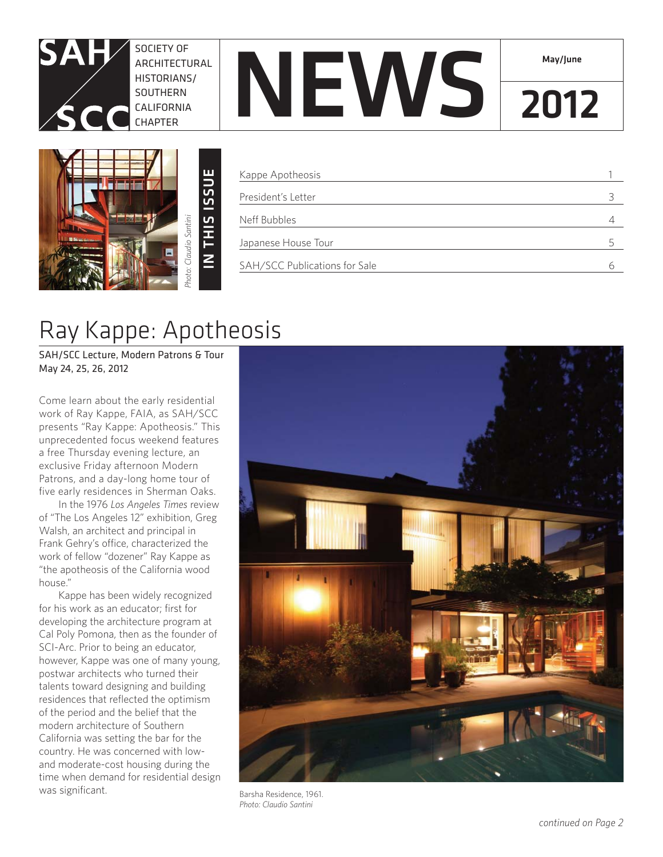

SOCIETY OF ARCHITECTURAL HISTORIANS/ **SOUTHERN** CALIFORNIA CHAPTER



| Kappe Apotheosis              |  |
|-------------------------------|--|
| President's Letter            |  |
| Neff Bubbles                  |  |
| Japanese House Tour           |  |
| SAH/SCC Publications for Sale |  |

**NEWS 2012** 

May/June

# Ray Kappe: Apotheosis

SAH/SCC Lecture, Modern Patrons & Tour May 24, 25, 26, 2012

Come learn about the early residential work of Ray Kappe, FAIA, as SAH/SCC presents "Ray Kappe: Apotheosis." This unprecedented focus weekend features a free Thursday evening lecture, an exclusive Friday afternoon Modern Patrons, and a day-long home tour of five early residences in Sherman Oaks.

In the 1976 *Los Angeles Times* review of "The Los Angeles 12" exhibition, Greg Walsh, an architect and principal in Frank Gehry's office, characterized the work of fellow "dozener" Ray Kappe as "the apotheosis of the California wood house."

Kappe has been widely recognized for his work as an educator; first for developing the architecture program at Cal Poly Pomona, then as the founder of SCI-Arc. Prior to being an educator, however, Kappe was one of many young, postwar architects who turned their talents toward designing and building residences that reflected the optimism of the period and the belief that the modern architecture of Southern California was setting the bar for the country. He was concerned with lowand moderate-cost housing during the time when demand for residential design was significant.



Barsha Residence, 1961. *Photo: Claudio Santini*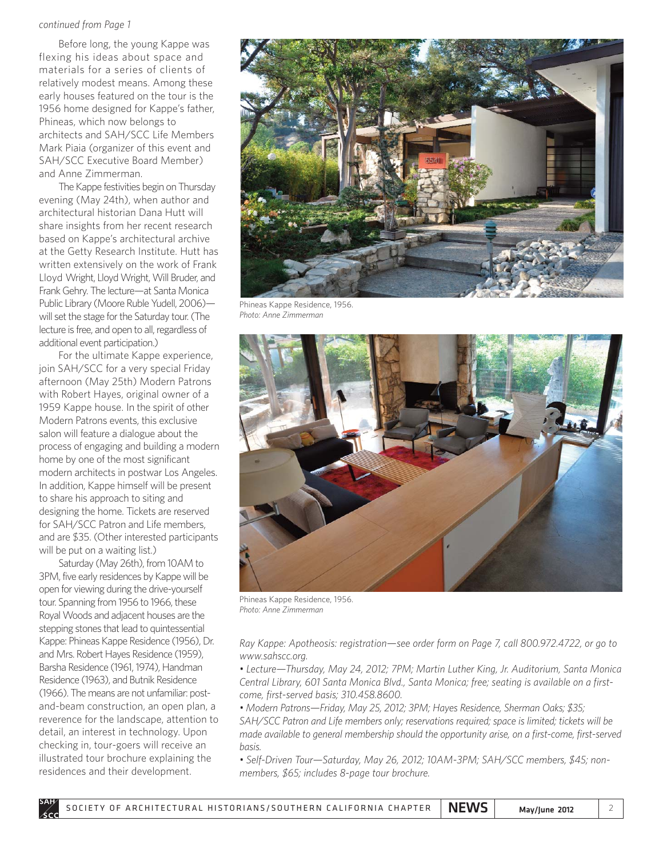### *continued from Page 1*

Before long, the young Kappe was flexing his ideas about space and materials for a series of clients of relatively modest means. Among these early houses featured on the tour is the 1956 home designed for Kappe's father, Phineas, which now belongs to architects and SAH/SCC Life Members Mark Piaia (organizer of this event and SAH/SCC Executive Board Member) and Anne Zimmerman.

The Kappe festivities begin on Thursday evening (May 24th), when author and architectural historian Dana Hutt will share insights from her recent research based on Kappe's architectural archive at the Getty Research Institute. Hutt has written extensively on the work of Frank Lloyd Wright, Lloyd Wright, Will Bruder, and Frank Gehry. The lecture—at Santa Monica Public Library (Moore Ruble Yudell, 2006) will set the stage for the Saturday tour. (The lecture is free, and open to all, regardless of additional event participation.)

For the ultimate Kappe experience, join SAH/SCC for a very special Friday afternoon (May 25th) Modern Patrons with Robert Hayes, original owner of a 1959 Kappe house. In the spirit of other Modern Patrons events, this exclusive salon will feature a dialogue about the process of engaging and building a modern home by one of the most significant modern architects in postwar Los Angeles. In addition, Kappe himself will be present to share his approach to siting and designing the home. Tickets are reserved for SAH/SCC Patron and Life members, and are \$35. (Other interested participants will be put on a waiting list.)

Saturday (May 26th), from 10AM to 3PM, five early residences by Kappe will be open for viewing during the drive-yourself tour. Spanning from 1956 to 1966, these Royal Woods and adjacent houses are the stepping stones that lead to quintessential Kappe: Phineas Kappe Residence (1956), Dr. and Mrs. Robert Hayes Residence (1959), Barsha Residence (1961, 1974), Handman Residence (1963), and Butnik Residence (1966). The means are not unfamiliar: postand-beam construction, an open plan, a reverence for the landscape, attention to detail, an interest in technology. Upon checking in, tour-goers will receive an illustrated tour brochure explaining the residences and their development.



Phineas Kappe Residence, 1956. *Photo: Anne Zimmerman*



Phineas Kappe Residence, 1956. *Photo: Anne Zimmerman*

*Ray Kappe: Apotheosis: registration—see order form on Page 7, call 800.972.4722, or go to www.sahscc.org.*

*• Lecture—Thursday, May 24, 2012; 7PM; Martin Luther King, Jr. Auditorium, Santa Monica Central Library, 601 Santa Monica Blvd., Santa Monica; free; seating is available on a firstcome, first-served basis; 310.458.8600.* 

*• Modern Patrons—Friday, May 25, 2012; 3PM; Hayes Residence, Sherman Oaks; \$35; SAH/SCC Patron and Life members only; reservations required; space is limited; tickets will be made available to general membership should the opportunity arise, on a first-come, first-served basis.*

*• Self-Driven Tour—Saturday, May 26, 2012; 10AM-3PM; SAH/SCC members, \$45; nonmembers, \$65; includes 8-page tour brochure.*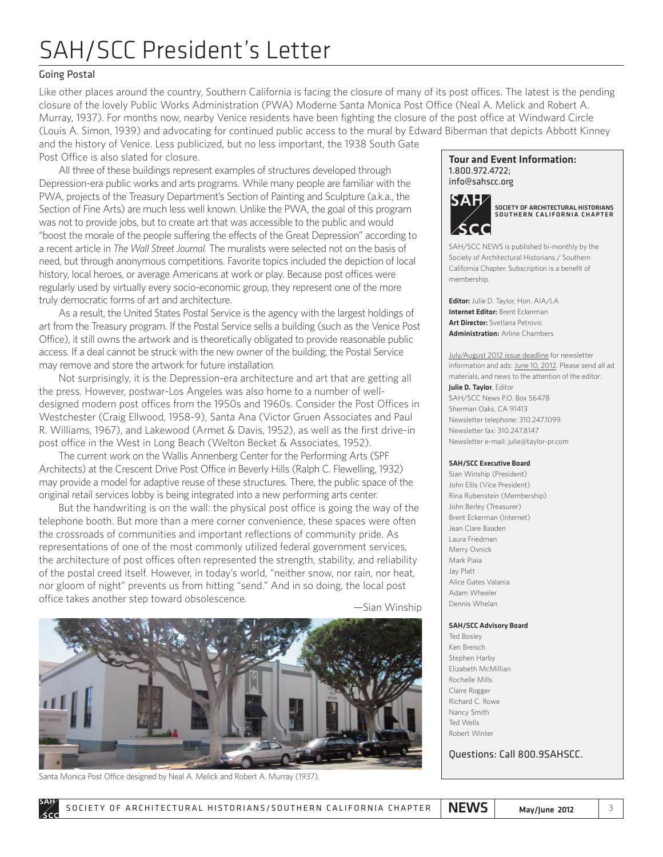# SAH/SCC President's Letter

### Going Postal

Like other places around the country, Southern California is facing the closure of many of its post offices. The latest is the pending closure of the lovely Public Works Administration (PWA) Moderne Santa Monica Post Office (Neal A. Melick and Robert A. Murray, 1937). For months now, nearby Venice residents have been fighting the closure of the post office at Windward Circle (Louis A. Simon, 1939) and advocating for continued public access to the mural by Edward Biberman that depicts Abbott Kinney and the history of Venice. Less publicized, but no less important, the 1938 South Gate Post Office is also slated for closure.

All three of these buildings represent examples of structures developed through Depression-era public works and arts programs. While many people are familiar with the PWA, projects of the Treasury Department's Section of Painting and Sculpture (a.k.a., the Section of Fine Arts) are much less well known. Unlike the PWA, the goal of this program was not to provide jobs, but to create art that was accessible to the public and would "boost the morale of the people suffering the effects of the Great Depression" according to a recent article in *The Wall Street Journal.* The muralists were selected not on the basis of need, but through anonymous competitions. Favorite topics included the depiction of local history, local heroes, or average Americans at work or play. Because post offices were regularly used by virtually every socio-economic group, they represent one of the more truly democratic forms of art and architecture.

As a result, the United States Postal Service is the agency with the largest holdings of art from the Treasury program. If the Postal Service sells a building (such as the Venice Post Office), it still owns the artwork and is theoretically obligated to provide reasonable public access. If a deal cannot be struck with the new owner of the building, the Postal Service may remove and store the artwork for future installation.

Not surprisingly, it is the Depression-era architecture and art that are getting all the press. However, postwar-Los Angeles was also home to a number of welldesigned modern post offices from the 1950s and 1960s. Consider the Post Offices in Westchester (Craig Ellwood, 1958-9), Santa Ana (Victor Gruen Associates and Paul R. Williams, 1967), and Lakewood (Armet & Davis, 1952), as well as the first drive-in post office in the West in Long Beach (Welton Becket & Associates, 1952).

The current work on the Wallis Annenberg Center for the Performing Arts (SPF Architects) at the Crescent Drive Post Office in Beverly Hills (Ralph C. Flewelling, 1932) may provide a model for adaptive reuse of these structures. There, the public space of the original retail services lobby is being integrated into a new performing arts center.

But the handwriting is on the wall: the physical post office is going the way of the telephone booth. But more than a mere corner convenience, these spaces were often the crossroads of communities and important reflections of community pride. As representations of one of the most commonly utilized federal government services, the architecture of post offices often represented the strength, stability, and reliability of the postal creed itself. However, in today's world, "neither snow, nor rain, nor heat, nor gloom of night" prevents us from hitting "send." And in so doing, the local post office takes another step toward obsolescence.<br>
—Sian Winship





Santa Monica Post Office designed by Neal A. Melick and Robert A. Murray (1937).

### Tour and Event Information: 1.800.972.4722; info@sahscc.org



SOCIETY OF ARCHITECTURAL HISTORIANS SOUTHERN CALIFORNIA CHAPTER

SAH/SCC NEWS is published bi-monthly by the Society of Architectural Historians / Southern California Chapter. Subscription is a benefit of membership.

Editor: Julie D. Taylor, Hon. AIA/LA Internet Editor: Brent Eckerman Art Director: Svetlana Petrovic Administration: Arline Chambers

July/August 2012 issue deadline for newsletter information and ads: June 10, 2012. Please send all ad materials, and news to the attention of the editor:

Julie D. Taylor, Editor SAH/SCC News P.O. Box 56478 Sherman Oaks, CA 91413 Newsletter telephone: 310.247.1099 Newsletter fax: 310.247.8147 Newsletter e-mail: julie@taylor-pr.com

### SAH/SCC Executive Board

Sian Winship (President) John Ellis (Vice President) Rina Rubenstein (Membership) John Berley (Treasurer) Brent Eckerman (Internet) Jean Clare Baaden Laura Friedman Merry Ovnick Mark Piaia Jay Platt Alice Gates Valania Adam Wheeler Dennis Whelan

### SAH/SCC Advisory Board

Ted Bosley Ken Breisch Stephen Harby Elizabeth McMillian Rochelle Mills Claire Rogger Richard C. Rowe Nancy Smith Ted Wells Robert Winter

Questions: Call 800.9SAHSCC.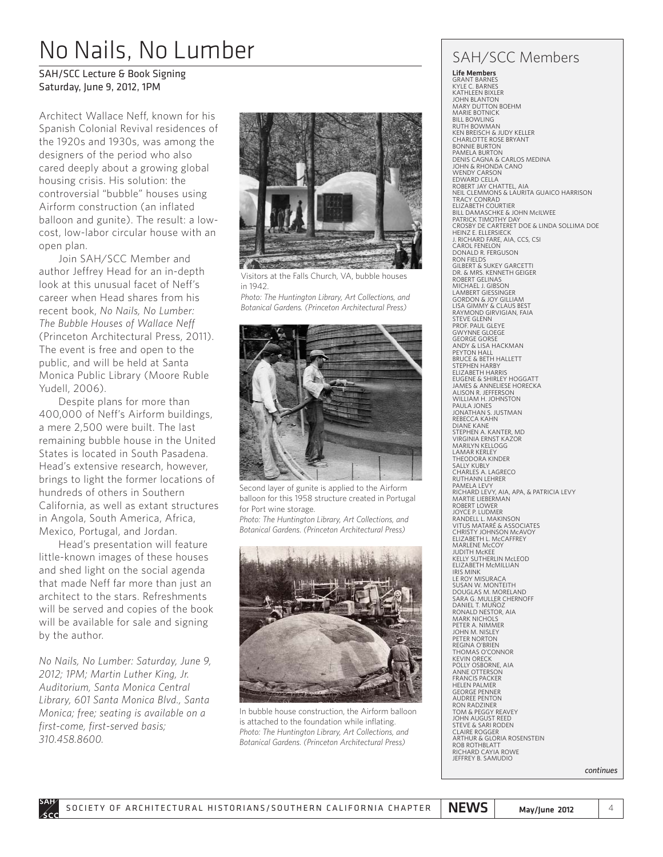# No Nails, No Lumber

### SAH/SCC Lecture & Book Signing Saturday, June 9, 2012, 1PM

Architect Wallace Neff, known for his Spanish Colonial Revival residences of the 1920s and 1930s, was among the designers of the period who also cared deeply about a growing global housing crisis. His solution: the controversial "bubble" houses using Airform construction (an inflated balloon and gunite). The result: a lowcost, low-labor circular house with an open plan.

Join SAH/SCC Member and author Jeffrey Head for an in-depth look at this unusual facet of Neff's career when Head shares from his recent book, *No Nails, No Lumber: The Bubble Houses of Wallace Neff* (Princeton Architectural Press, 2011). The event is free and open to the public, and will be held at Santa Monica Public Library (Moore Ruble Yudell, 2006).

Despite plans for more than 400,000 of Neff's Airform buildings, a mere 2,500 were built. The last remaining bubble house in the United States is located in South Pasadena. Head's extensive research, however, brings to light the former locations of hundreds of others in Southern California, as well as extant structures in Angola, South America, Africa, Mexico, Portugal, and Jordan.

Head's presentation will feature little-known images of these houses and shed light on the social agenda that made Neff far more than just an architect to the stars. Refreshments will be served and copies of the book will be available for sale and signing by the author.

*No Nails, No Lumber: Saturday, June 9, 2012; 1PM; Martin Luther King, Jr. Auditorium, Santa Monica Central Library, 601 Santa Monica Blvd., Santa Monica; free; seating is available on a first-come, first-served basis; 310.458.8600.*



Visitors at the Falls Church, VA, bubble houses in 1942.

*Photo: The Huntington Library, Art Collections, and Botanical Gardens. (Princeton Architectural Press)*



Second layer of gunite is applied to the Airform balloon for this 1958 structure created in Portugal for Port wine storage.

*Photo: The Huntington Library, Art Collections, and Botanical Gardens. (Princeton Architectural Press)*



In bubble house construction, the Airform balloon is attached to the foundation while inflating. *Photo: The Huntington Library, Art Collections, and Botanical Gardens. (Princeton Architectural Press)*

## SAH/SCC Members

Life Members GRANT BARNES KYLE C. BARNES KATHI FFN BIXI FR JOHN BLANTON MARY DUTTON BOEHM MARIE BOTNICK **BILL BOWLING** RUTH BOWMAN KEN BREISCH & JUDY KELLER CHARLOTTE ROSE BRYANT BONNIE BURTON PAMELA BURTON DENIS CAGNA & CARLOS MEDINA JOHN & RHONDA CANO WENDY CARSON EDWARD CELLA ROBERT JAY CHATTEL, AIA NEIL CLEMMONS & LAURITA GUAICO HARRISON<br>TRACY CONRAD<br>ELIZABETH COURTIER<br>BILL DAMASCHKE & JOHN McILWEE<br>PATRICK TIMOTHY DAY<br>PATRICK TIMOTHY DAY<br>CROSBY DE CARTERET DOE & LINDA SOLLIMA DOE HEINZ E. ELLERSIECK J. RICHARD FARE, AIA, CCS, CSI CAROL FENELON DONALD R. FERGUSON RON FIELDS GILBERT & SUKEY GARCETTI DR. & MRS. KENNETH GEIGER ROBERT GELINAS MICHAEL J. GIBSON LAMBERT GIESSINGER GORDON & JOY GILLIAM LISA GIMMY & CLAUS BEST RAYMOND GIRVIGIAN, FAIA STEVE GLENN PROF. PAUL GLEYE GWYNNE GLOEGE GEORGE GORSE ANDY & LISA HACKMAN PEYTON HALL BRUCE & BETH HALLETT STEPHEN HARBY ELIZABETH HARRIS EUGENE & SHIRLEY HOGGATT JAMES & ANNELIESE HORECKA ALISON R. JEFFERSON WILLIAM H. JOHNSTON PAULA JONES JONATHAN S. JUSTMAN REBECCA KAHN DIANE KANE STEPHEN A. KANTER, MD VIRGINIA ERNST KAZOR MARILYN KELLOGG LAMAR KFRLFY THEODORA KINDER SALLY KUBLY CHARLES A. LAGRECO RUTHANN LEHRER PAMELA LEVY RICHARD LEVY, AIA, APA, & PATRICIA LEVY MARTIE LIEBERMAN ROBERT LOWER JOYCE P. LUDMER RANDELL L. MAKINSON VITUS MATARÉ & ASSOCIATES CHRISTY JOHNSON McAVOY ELIZABETH L. McCAFFREY MARLENE McCOY JUDITH McKEE KELLY SUTHERLIN McLEOD ELIZABETH McMILLIAN IRIS MINK LE ROY MISURACA SUSAN W. MONTEITH DOUGLAS M. MORELAND SARA G. MULLER CHERNOFF DANIEL T. MUÑOZ RONALD NESTOR, AIA MARK NICHOLS PETER A. NIMMER JOHN M. NISLEY PETER NORTON REGINA O'BRIEN THOMAS O'CONNOR KEVIN ORECK POLLY OSBORNE, AIA ANNE OTTERSON FRANCIS PACKER HELEN PALMER GEORGE PENNER AUDREE PENTON RON RADZINER TOM & PEGGY REAVEY JOHN AUGUST REED STEVE & SARI RODEN CLAIRE ROGGER ARTHUR & GLORIA ROSENSTEIN ROB ROTHBLATT RICHARD CAYIA ROWE JEFFREY B. SAMUDIO

*continues*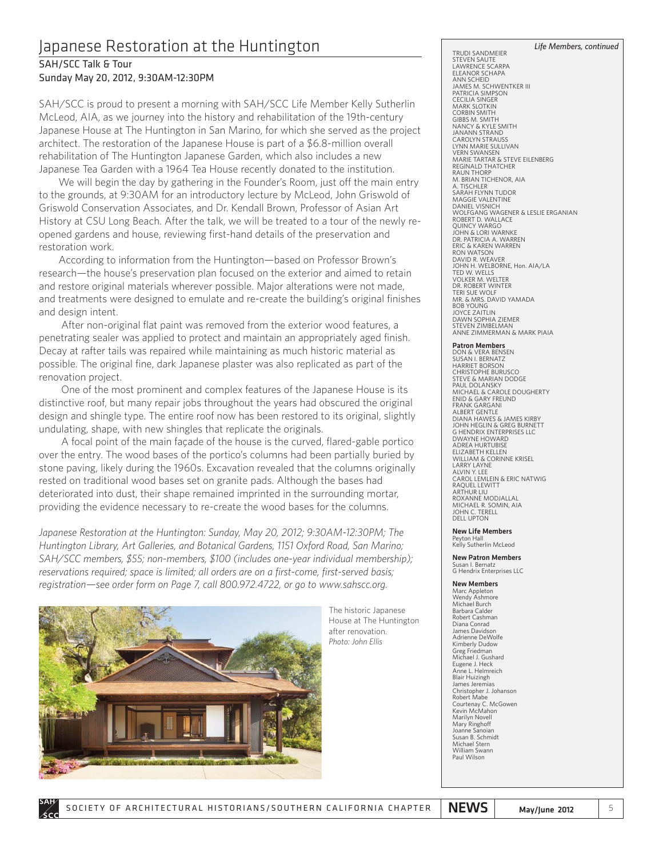## Japanese Restoration at the Huntington

### SAH/SCC Talk & Tour Sunday May 20, 2012, 9:30AM-12:30PM

SAH/SCC is proud to present a morning with SAH/SCC Life Member Kelly Sutherlin McLeod, AIA, as we journey into the history and rehabilitation of the 19th-century Japanese House at The Huntington in San Marino, for which she served as the project architect. The restoration of the Japanese House is part of a \$6.8-million overall rehabilitation of The Huntington Japanese Garden, which also includes a new Japanese Tea Garden with a 1964 Tea House recently donated to the institution.

We will begin the day by gathering in the Founder's Room, just off the main entry to the grounds, at 9:30AM for an introductory lecture by McLeod, John Griswold of Griswold Conservation Associates, and Dr. Kendall Brown, Professor of Asian Art History at CSU Long Beach. After the talk, we will be treated to a tour of the newly reopened gardens and house, reviewing first-hand details of the preservation and restoration work.

According to information from the Huntington—based on Professor Brown's research—the house's preservation plan focused on the exterior and aimed to retain and restore original materials wherever possible. Major alterations were not made, and treatments were designed to emulate and re-create the building's original finishes and design intent.

After non-original flat paint was removed from the exterior wood features, a penetrating sealer was applied to protect and maintain an appropriately aged finish. Decay at rafter tails was repaired while maintaining as much historic material as possible. The original fine, dark Japanese plaster was also replicated as part of the renovation project.

One of the most prominent and complex features of the Japanese House is its distinctive roof, but many repair jobs throughout the years had obscured the original design and shingle type. The entire roof now has been restored to its original, slightly undulating, shape, with new shingles that replicate the originals.

A focal point of the main façade of the house is the curved, flared-gable portico over the entry. The wood bases of the portico's columns had been partially buried by stone paving, likely during the 1960s. Excavation revealed that the columns originally rested on traditional wood bases set on granite pads. Although the bases had deteriorated into dust, their shape remained imprinted in the surrounding mortar, providing the evidence necessary to re-create the wood bases for the columns.

*Japanese Restoration at the Huntington: Sunday, May 20, 2012; 9:30AM-12:30PM; The Huntington Library, Art Galleries, and Botanical Gardens, 1151 Oxford Road, San Marino; SAH/SCC members, \$55; non-members, \$100 (includes one-year individual membership); reservations required; space is limited; all orders are on a first-come, first-served basis; registration—see order form on Page 7, call 800.972.4722, or go to www.sahscc.org.*



The historic Japanese House at The Huntington after renovation. *Photo: John Ellis*

#### *Life Members, continued*

STEVEN SAUTE LAWRENCE SCARPA ELEANOR SCHAPA ANN SCHEID JAMES M. SCHWENTKER III PATRICIA SIMPSON CECILIA SINGER MARK SLOTKIN CORBIN SMITH GIBBS M. SMITH NANCY & KYLE SMITH JANANN STRAND CAROLYN STRAUSS LYNN MARIE SULLIVAN VERN SWANSEN MARIE TARTAR & STEVE EILENBERG REGINALD THATCHER RAUN THORP M. BRIAN TICHENOR, AIA A. TISCHLER SARAH FLYNN TUDOR MAGGIE VALENTINE DANIEL VISNICH WOLFGANG WAGENER & LESLIE ERGANIAN ROBERT D. WALLACE QUINCY WARGO JOHN & LORI WARNKE DR. PATRICIA A. WARREN ERIC & KAREN WARREN RON WATSON DAVID R. WEAVER JOHN H. WELBORNE, Hon. AIA/LA TED W. WELLS VOLKER M. WELTER DR. ROBERT WINTER TERI SUE WOLF MR. & MRS. DAVID YAMADA BOB YOUNG JOYCE ZAITLIN DAWN SOPHIA ZIEMER STEVEN ZIMBELMAN ANNE ZIMMERMAN & MARK PIAIA

#### Patron Members

TRUDI SANDMEIER

DON & VERA BENSEN SUSAN I. BERNATZ HARRIET BORSON CHRISTOPHE BURUSCO STEVE & MARIAN DODGE PAUL DOLANSKY MICHAEL & CAROLE DOUGHERTY ENID & GARY FREUND **FRANK GARGANI** ALBERT GENTLE DIANA HAWES & JAMES KIRBY JOHN HEGLIN & GREG BURNETT G HENDRIX ENTERPRISES LLC DWAYNE HOWARD ADREA HURTUBISE ELIZABETH KELLEN WILLIAM & CORINNE KRISEL LARRY LAYNE ALVIN Y. LEE CAROL LEMLEIN & ERIC NATWIG RAQUEL LEWITT ARTHUR LIU ROXANNE MODJALLAL MICHAEL R. SOMIN, AIA JOHN C. TERELL DELL UPTON

#### New Life Members Peyton Hall

Kelly Sutherlin McLeod

#### New Patron Members

Susan I. Bernatz G Hendrix Enterprises LLC

#### New Members

Marc Appleton Wendy Ashmore Michael Burch Barbara Calder Robert Cashman Diana Conrad James Davidson Adrienne DeWolfe Kimberly Dudow Greg Friedman Michael J. Gushard Eugene J. Heck Anne L. Helmreich Blair Huizingh James Jeren Christopher J. Johanson Robert Mabe Courtenay C. McGowen Kevin McMahon Marilyn Novell Mary Ringhoff<br>Joanne Sanoiar Joanne Sa Susan B. Schmidt Michael Stern William Swann Paul Wilson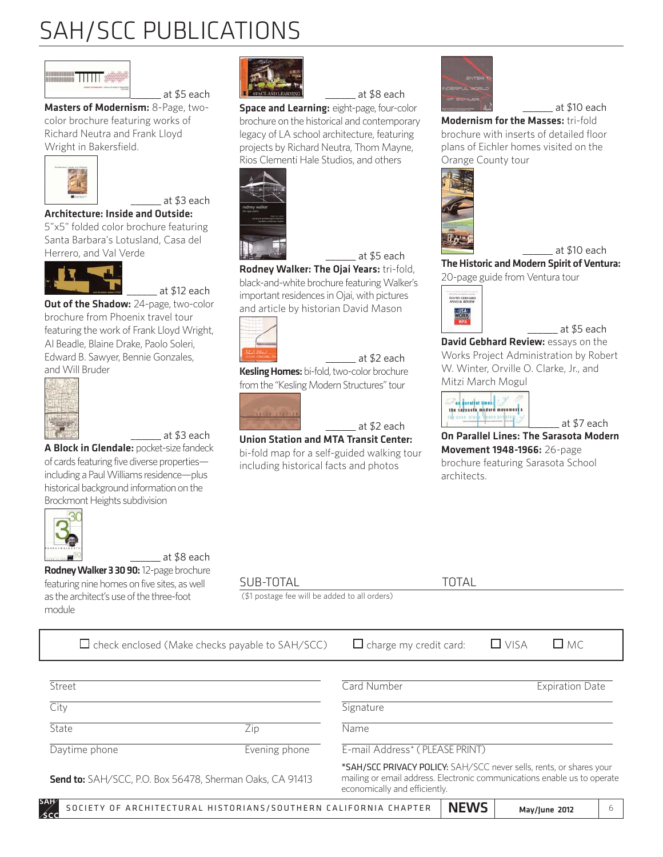# SAH/SCC PUBLICATIONS

\_\_\_\_\_\_ at \$5 each



Masters of Modernism: 8-Page, twocolor brochure featuring works of Richard Neutra and Frank Lloyd Wright in Bakersfield.



Architecture: Inside and Outside:

5"x5" folded color brochure featuring Santa Barbara's Lotusland, Casa del Herrero, and Val Verde



 $_$  at \$12 each

\_\_\_\_\_\_ at \$3 each

**Out of the Shadow:** 24-page, two-color brochure from Phoenix travel tour featuring the work of Frank Lloyd Wright, Al Beadle, Blaine Drake, Paolo Soleri, Edward B. Sawyer, Bennie Gonzales, and Will Bruder



\_\_\_\_\_\_ at \$3 each

A Block in Glendale: pocket-size fandeck of cards featuring five diverse properties including a Paul Williams residence—plus historical background information on the Brockmont Heights subdivision



\_\_\_\_\_\_ at \$8 each

Rodney Walker 3 30 90: 12-page brochure featuring nine homes on five sites, as well as the architect's use of the three-foot module

SUB-TOTAL TOTAL

(\$1 postage fee will be added to all orders)

SOCIETY OF ARCHITECTURAL HISTORIANS/SOUTHERN CALIFORNIA CHAPTER  $\parallel$  NEWS  $\parallel$  may/june 2012  $\parallel$  6  $\Box$  check enclosed (Make checks payable to SAH/SCC)  $\Box$  charge my credit card:  $\Box$  VISA  $\Box$  MC **Street City** State Zip Daytime phone **Evening phone** Send to: SAH/SCC, P.O. Box 56478, Sherman Oaks, CA 91413 **Card Number**  Expiration Date **Signature** Name E-mail Address\* ( PLEASE PRINT) \*SAH/SCC PRIVACY POLICY: SAH/SCC never sells, rents, or shares your mailing or email address. Electronic communications enable us to operate economically and efficiently.



\_\_\_\_\_\_ at \$8 each

**Space and Learning: eight-page, four-color** brochure on the historical and contemporary legacy of LA school architecture, featuring projects by Richard Neutra, Thom Mayne, Rios Clementi Hale Studios, and others



\_\_\_\_\_\_ at \$5 each Rodney Walker: The Ojai Years: tri-fold, black-and-white brochure featuring Walker's important residences in Ojai, with pictures and article by historian David Mason



\_\_\_\_\_\_ at \$2 each Kesling Homes: bi-fold, two-color brochure from the "Kesling Modern Structures" tour



\_\_\_\_\_\_ at \$2 each

Union Station and MTA Transit Center: bi-fold map for a self-guided walking tour including historical facts and photos



### \_\_\_\_\_\_ at \$10 each

Modernism for the Masses: tri-fold brochure with inserts of detailed floor plans of Eichler homes visited on the Orange County tour





The Historic and Modern Spirit of Ventura: 20-page guide from Ventura tour



### \_\_\_\_\_\_ at \$5 each

David Gebhard Review: essays on the Works Project Administration by Robert W. Winter, Orville O. Clarke, Jr., and Mitzi March Mogul



\_\_\_\_\_\_ at \$7 each On Parallel Lines: The Sarasota Modern Movement 1948-1966: 26-page brochure featuring Sarasota School architects.